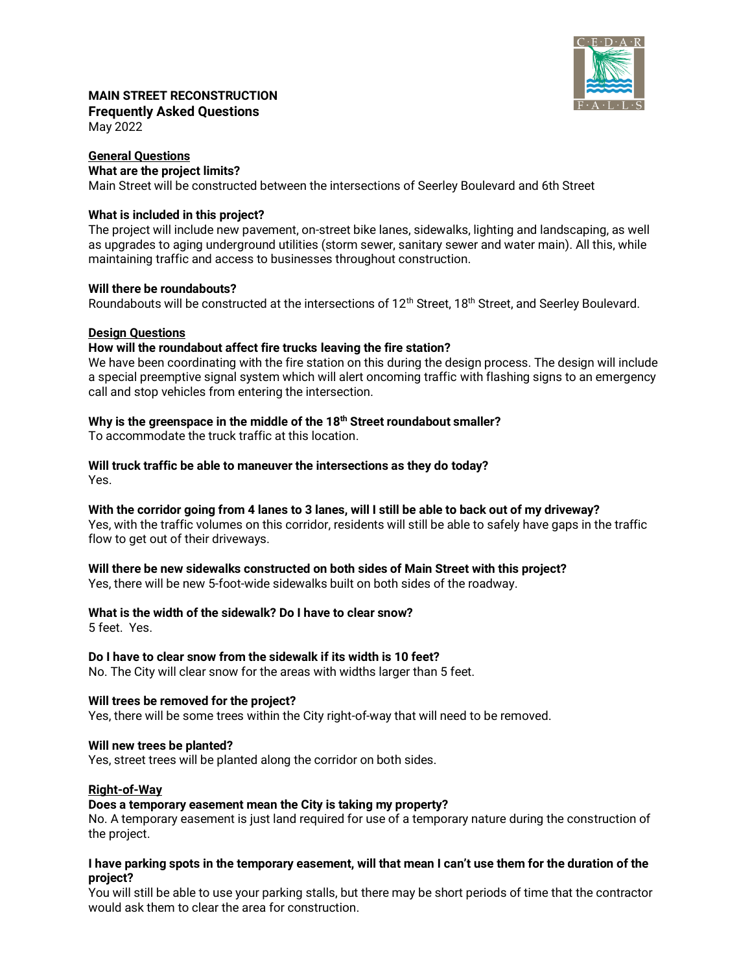

# **MAIN STREET RECONSTRUCTION Frequently Asked Questions**

May 2022

# **General Questions What are the project limits?**

Main Street will be constructed between the intersections of Seerley Boulevard and 6th Street

# **What is included in this project?**

The project will include new pavement, on-street bike lanes, sidewalks, lighting and landscaping, as well as upgrades to aging underground utilities (storm sewer, sanitary sewer and water main). All this, while maintaining traffic and access to businesses throughout construction.

## **Will there be roundabouts?**

Roundabouts will be constructed at the intersections of 12<sup>th</sup> Street, 18<sup>th</sup> Street, and Seerley Boulevard.

## **Design Questions**

## **How will the roundabout affect fire trucks leaving the fire station?**

We have been coordinating with the fire station on this during the design process. The design will include a special preemptive signal system which will alert oncoming traffic with flashing signs to an emergency call and stop vehicles from entering the intersection.

# **Why is the greenspace in the middle of the 18th Street roundabout smaller?**

To accommodate the truck traffic at this location.

# **Will truck traffic be able to maneuver the intersections as they do today?**

Yes.

**With the corridor going from 4 lanes to 3 lanes, will I still be able to back out of my driveway?** Yes, with the traffic volumes on this corridor, residents will still be able to safely have gaps in the traffic flow to get out of their driveways.

## **Will there be new sidewalks constructed on both sides of Main Street with this project?**

Yes, there will be new 5-foot-wide sidewalks built on both sides of the roadway.

## **What is the width of the sidewalk? Do I have to clear snow?**

5 feet. Yes.

## **Do I have to clear snow from the sidewalk if its width is 10 feet?**

No. The City will clear snow for the areas with widths larger than 5 feet.

## **Will trees be removed for the project?**

Yes, there will be some trees within the City right-of-way that will need to be removed.

#### **Will new trees be planted?**

Yes, street trees will be planted along the corridor on both sides.

## **Right-of-Way**

#### **Does a temporary easement mean the City is taking my property?**

No. A temporary easement is just land required for use of a temporary nature during the construction of the project.

#### **I have parking spots in the temporary easement, will that mean I can't use them for the duration of the project?**

You will still be able to use your parking stalls, but there may be short periods of time that the contractor would ask them to clear the area for construction.